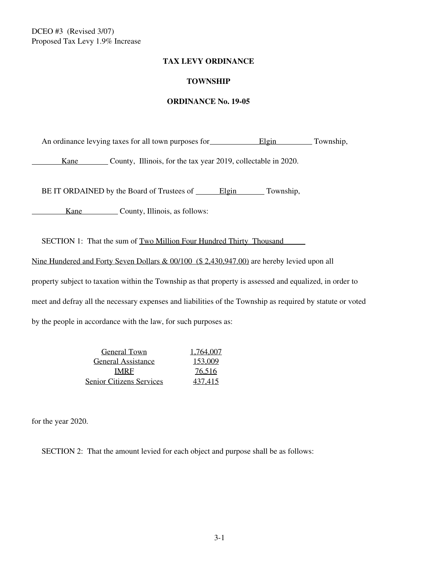### **TAX LEVY ORDINANCE**

## **TOWNSHIP**

### **ORDINANCE No. 19-05**

An ordinance levying taxes for all town purposes for **Elgin** Township,

Kane County, Illinois, for the tax year 2019, collectable in 2020.

BE IT ORDAINED by the Board of Trustees of \_\_\_\_\_\_Elgin Township,

Kane County, Illinois, as follows:

SECTION 1: That the sum of Two Million Four Hundred Thirty Thousand

Nine Hundered and Forty Seven Dollars & 00/100 (\$ 2,430,947.00) are hereby levied upon all

property subject to taxation within the Township as that property is assessed and equalized, in order to meet and defray all the necessary expenses and liabilities of the Township as required by statute or voted by the people in accordance with the law, for such purposes as:

> General Town 1.764,007 General Assistance 153,009 IMRF 76,516 Senior Citizens Services 437,415

for the year 2020.

SECTION 2: That the amount levied for each object and purpose shall be as follows: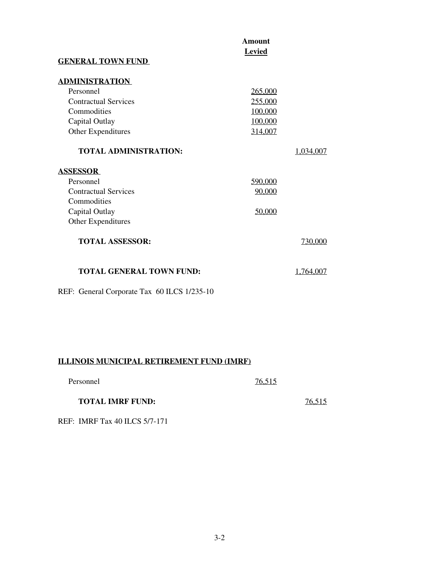| <b>GENERAL TOWN FUND</b>                                                                                                        | <b>Amount</b><br><b>Levied</b>                      |           |
|---------------------------------------------------------------------------------------------------------------------------------|-----------------------------------------------------|-----------|
| <b>ADMINISTRATION</b><br>Personnel<br><b>Contractual Services</b><br>Commodities<br>Capital Outlay<br><b>Other Expenditures</b> | 265,000<br>255,000<br>100,000<br>100,000<br>314,007 |           |
| <b>TOTAL ADMINISTRATION:</b>                                                                                                    |                                                     | 1.034.007 |
| <b>ASSESSOR</b><br>Personnel<br><b>Contractual Services</b><br>Commodities<br>Capital Outlay<br><b>Other Expenditures</b>       | 590,000<br>90,000<br>50,000                         |           |
| <b>TOTAL ASSESSOR:</b>                                                                                                          |                                                     | 730,000   |
| <b>TOTAL GENERAL TOWN FUND:</b>                                                                                                 |                                                     | 1.764,007 |

REF: General Corporate Tax 60 ILCS 1/235-10

# **ILLINOIS MUNICIPAL RETIREMENT FUND (IMRF)**

| Personnel | 76,515 |
|-----------|--------|
|           |        |

## **TOTAL IMRF FUND:** 76,515

REF: IMRF Tax 40 ILCS 5/7-171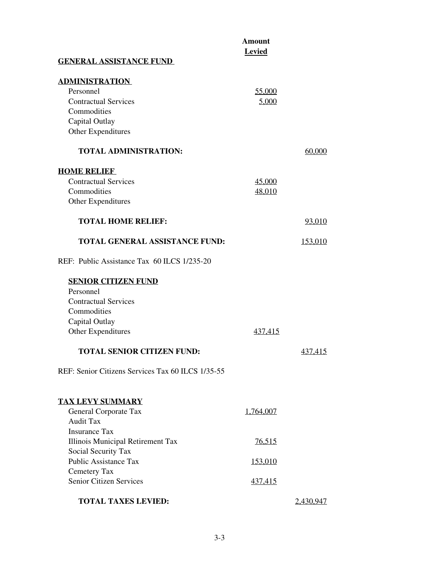|                                                   | <b>Amount</b><br><b>Levied</b> |                |
|---------------------------------------------------|--------------------------------|----------------|
| <b>GENERAL ASSISTANCE FUND</b>                    |                                |                |
| <b>ADMINISTRATION</b>                             |                                |                |
| Personnel                                         | 55,000                         |                |
| <b>Contractual Services</b>                       | 5,000                          |                |
| Commodities                                       |                                |                |
| Capital Outlay                                    |                                |                |
| Other Expenditures                                |                                |                |
| <b>TOTAL ADMINISTRATION:</b>                      |                                | 60.000         |
| <b>HOME RELIEF</b>                                |                                |                |
| <b>Contractual Services</b>                       | 45,000                         |                |
| Commodities                                       | 48,010                         |                |
| Other Expenditures                                |                                |                |
| <b>TOTAL HOME RELIEF:</b>                         |                                | 93.010         |
| <b>TOTAL GENERAL ASSISTANCE FUND:</b>             |                                | 153.010        |
| REF: Public Assistance Tax 60 ILCS 1/235-20       |                                |                |
| <b>SENIOR CITIZEN FUND</b>                        |                                |                |
| Personnel                                         |                                |                |
| <b>Contractual Services</b>                       |                                |                |
| Commodities                                       |                                |                |
| Capital Outlay                                    |                                |                |
| Other Expenditures                                | 437,415                        |                |
| <b>TOTAL SENIOR CITIZEN FUND:</b>                 |                                | <u>437,415</u> |
| REF: Senior Citizens Services Tax 60 ILCS 1/35-55 |                                |                |
| <b>TAX LEVY SUMMARY</b>                           |                                |                |
| General Corporate Tax                             | 1,764,007                      |                |
| <b>Audit Tax</b>                                  |                                |                |
| <b>Insurance Tax</b>                              |                                |                |
| Illinois Municipal Retirement Tax                 | 76,515                         |                |
| Social Security Tax                               |                                |                |
| <b>Public Assistance Tax</b>                      | <u>153,010</u>                 |                |
| Cemetery Tax                                      |                                |                |
| <b>Senior Citizen Services</b>                    | 437,415                        |                |
| <b>TOTAL TAXES LEVIED:</b>                        |                                | 2,430.947      |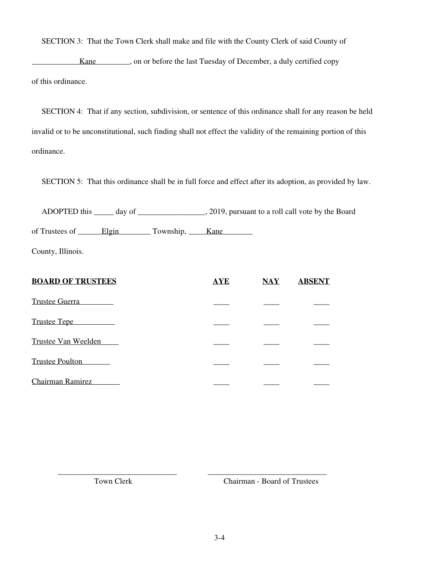SECTION 3: That the Town Clerk shall make and file with the County Clerk of said County of

Kane strategies on or before the last Tuesday of December, a duly certified copy of this ordinance.

 SECTION 4: That if any section, subdivision, or sentence of this ordinance shall for any reason be held invalid or to be unconstitutional, such finding shall not effect the validity of the remaining portion of this ordinance.

SECTION 5: That this ordinance shall be in full force and effect after its adoption, as provided by law.

 ADOPTED this \_\_\_\_\_ day of \_\_\_\_\_\_\_\_\_\_\_\_\_\_\_\_\_, 2019, pursuant to a roll call vote by the Board of Trustees of Elgin Township, Kane

County, Illinois.

| <b>BOARD OF TRUSTEES</b> | <b>AYE</b> | $\overline{\text{NAY}}$ | <b>ABSENT</b> |
|--------------------------|------------|-------------------------|---------------|
| <b>Trustee Guerra</b>    |            |                         |               |
| Trustee Tepe             |            |                         |               |
| Trustee Van Weelden      |            |                         |               |
| <b>Trustee Poulton</b>   |            |                         |               |
| <b>Chairman Ramirez</b>  |            |                         |               |

\_\_\_\_\_\_\_\_\_\_\_\_\_\_\_\_\_\_\_\_\_\_\_\_\_\_\_\_\_\_ \_\_\_\_\_\_\_\_\_\_\_\_\_\_\_\_\_\_\_\_\_\_\_\_\_\_\_\_\_\_

Town Clerk Chairman - Board of Trustees